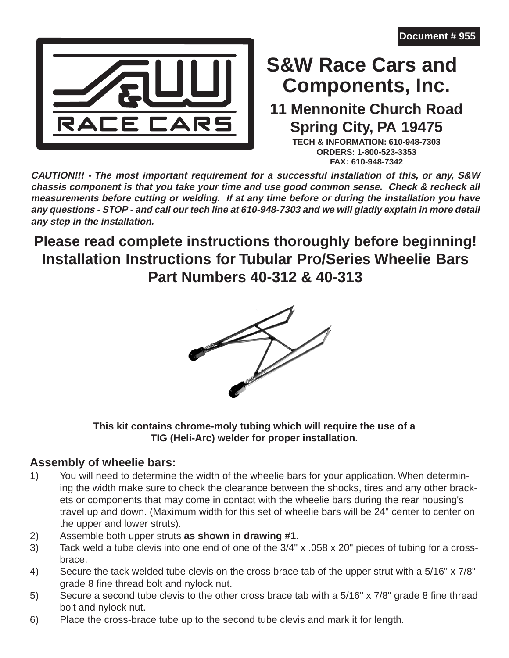

# **Components, Inc. S&W Race Cars and**

# **11 Mennonite Church Road Spring City, PA 19475**

**TECH & INFORMATION: 610-948-7303 ORDERS: 1-800-523-3353 FAX: 610-948-7342**

**CAUTION!!! - The most important requirement for a successful installation of this, or any, S&W chassis component is that you take your time and use good common sense. Check & recheck all measurements before cutting or welding. If at any time before or during the installation you have any questions - STOP - and call our tech line at 610-948-7303 and we will gladly explain in more detail any step in the installation.**

# **Please read complete instructions thoroughly before beginning! Installation Instructions for Tubular Pro/Series Wheelie Bars Part Numbers 40-312 & 40-313**



#### **This kit contains chrome-moly tubing which will require the use of a TIG (Heli-Arc) welder for proper installation.**

#### **Assembly of wheelie bars:**

- 1) You will need to determine the width of the wheelie bars for your application. When determining the width make sure to check the clearance between the shocks, tires and any other brackets or components that may come in contact with the wheelie bars during the rear housing's travel up and down. (Maximum width for this set of wheelie bars will be 24" center to center on the upper and lower struts).
- 2) Assemble both upper struts **as shown in drawing #1**.
- 3) Tack weld a tube clevis into one end of one of the 3/4" x .058 x 20" pieces of tubing for a crossbrace.
- 4) Secure the tack welded tube clevis on the cross brace tab of the upper strut with a 5/16" x 7/8" grade 8 fine thread bolt and nylock nut.
- 5) Secure a second tube clevis to the other cross brace tab with a 5/16" x 7/8" grade 8 fine thread bolt and nylock nut.
- 6) Place the cross-brace tube up to the second tube clevis and mark it for length.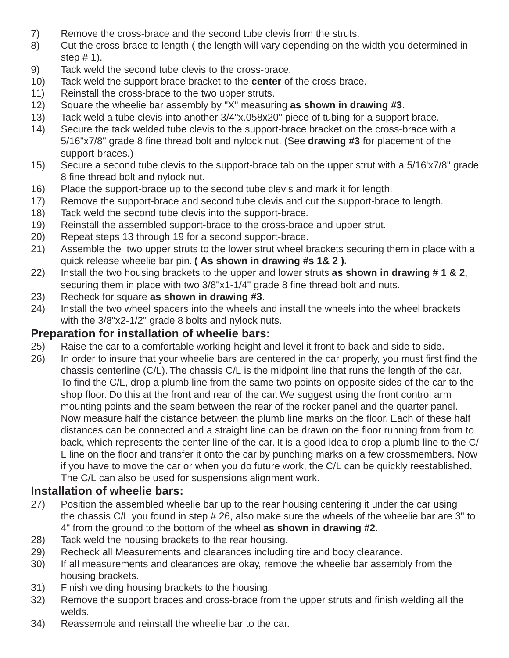- 7) Remove the cross-brace and the second tube clevis from the struts.
- 8) Cut the cross-brace to length ( the length will vary depending on the width you determined in step  $# 1$ ).
- 9) Tack weld the second tube clevis to the cross-brace.
- 10) Tack weld the support-brace bracket to the **center** of the cross-brace.
- 11) Reinstall the cross-brace to the two upper struts.
- 12) Square the wheelie bar assembly by "X" measuring **as shown in drawing #3**.
- 13) Tack weld a tube clevis into another 3/4"x.058x20" piece of tubing for a support brace.
- 14) Secure the tack welded tube clevis to the support-brace bracket on the cross-brace with a 5/16"x7/8" grade 8 fine thread bolt and nylock nut. (See **drawing #3** for placement of the support-braces.)
- 15) Secure a second tube clevis to the support-brace tab on the upper strut with a 5/16'x7/8" grade 8 fine thread bolt and nylock nut.
- 16) Place the support-brace up to the second tube clevis and mark it for length.
- 17) Remove the support-brace and second tube clevis and cut the support-brace to length.
- 18) Tack weld the second tube clevis into the support-brace.
- 19) Reinstall the assembled support-brace to the cross-brace and upper strut.
- 20) Repeat steps 13 through 19 for a second support-brace.
- 21) Assemble the two upper struts to the lower strut wheel brackets securing them in place with a quick release wheelie bar pin. **( As shown in drawing #s 1& 2 ).**
- 22) Install the two housing brackets to the upper and lower struts **as shown in drawing # 1 & 2**, securing them in place with two 3/8"x1-1/4" grade 8 fine thread bolt and nuts.
- 23) Recheck for square **as shown in drawing #3**.
- 24) Install the two wheel spacers into the wheels and install the wheels into the wheel brackets with the 3/8"x2-1/2" grade 8 bolts and nylock nuts.

#### **Preparation for installation of wheelie bars:**

- 25) Raise the car to a comfortable working height and level it front to back and side to side.
- 26) In order to insure that your wheelie bars are centered in the car properly, you must first find the chassis centerline (C/L). The chassis C/L is the midpoint line that runs the length of the car. To find the C/L, drop a plumb line from the same two points on opposite sides of the car to the shop floor. Do this at the front and rear of the car. We suggest using the front control arm mounting points and the seam between the rear of the rocker panel and the quarter panel. Now measure half the distance between the plumb line marks on the floor. Each of these half distances can be connected and a straight line can be drawn on the floor running from from to back, which represents the center line of the car. It is a good idea to drop a plumb line to the C/ L line on the floor and transfer it onto the car by punching marks on a few crossmembers. Now if you have to move the car or when you do future work, the C/L can be quickly reestablished. The C/L can also be used for suspensions alignment work.

#### **Installation of wheelie bars:**

- 27) Position the assembled wheelie bar up to the rear housing centering it under the car using the chassis C/L you found in step # 26, also make sure the wheels of the wheelie bar are 3" to 4" from the ground to the bottom of the wheel **as shown in drawing #2**.
- 28) Tack weld the housing brackets to the rear housing.
- 29) Recheck all Measurements and clearances including tire and body clearance.
- 30) If all measurements and clearances are okay, remove the wheelie bar assembly from the housing brackets.
- 31) Finish welding housing brackets to the housing.
- 32) Remove the support braces and cross-brace from the upper struts and finish welding all the welds.
- 34) Reassemble and reinstall the wheelie bar to the car.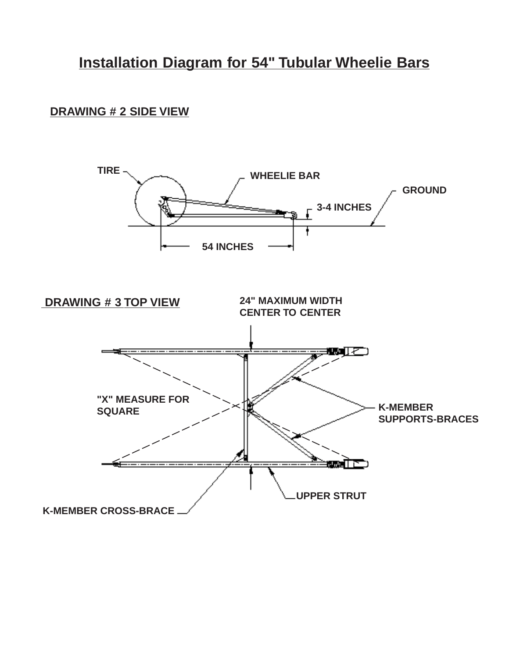## **Installation Diagram for 54" Tubular Wheelie Bars**

#### **DRAWING # 2 SIDE VIEW**